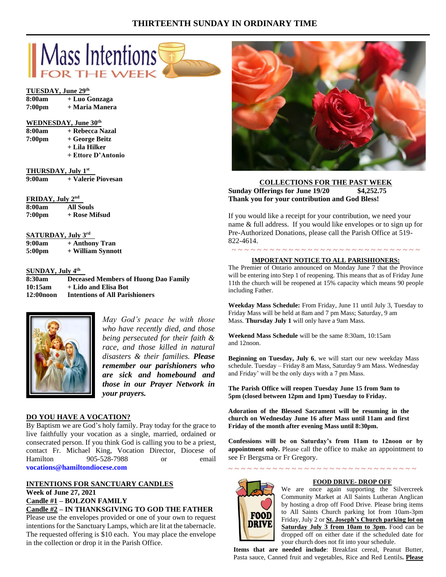# **THIRTEENTH SUNDAY IN ORDINARY TIME**



### **TUESDAY, June 29th**

| 8:00am             | + Luo Gonzaga  |
|--------------------|----------------|
| 7:00 <sub>pm</sub> | + Maria Manera |

#### **WEDNESDAY, June 30th**

| 8:00am | + Rebecca Nazal |
|--------|-----------------|
| 7:00pm | + George Beitz  |
|        | + Lila Hilker   |

**+ Ettore D'Antonio**

**THURSDAY, July 1st 9:00am + Valerie Piovesan**

# **FRIDAY, July 2nd**

| 8:00am             | All Souls     |
|--------------------|---------------|
| 7:00 <sub>pm</sub> | + Rose Mifsud |

### **SATURDAY, July 3rd**

**9:00am + Anthony Tran 5:00pm + William Synnott**

#### **SUNDAY, July 4th**

**8:30am Deceased Members of Huong Dao Family 10:15am + Lido and Elisa Bot 12:00noon Intentions of All Parishioners**



*May God's peace be with those who have recently died, and those being persecuted for their faith & race, and those killed in natural disasters & their families. Please remember our parishioners who are sick and homebound and those in our Prayer Network in your prayers.*

### **DO YOU HAVE A VOCATION?**

By Baptism we are God's holy family. Pray today for the grace to live faithfully your vocation as a single, married, ordained or consecrated person. If you think God is calling you to be a priest, contact Fr. Michael King, Vocation Director, Diocese of Hamilton 905-528-7988 or email **vocations@hamiltondiocese.com** 

### **INTENTIONS FOR SANCTUARY CANDLES Week of June 27, 2021 Candle #1 – BOLZON FAMILY Candle #2 – IN THANKSGIVING TO GOD THE FATHER**

Please use the envelopes provided or one of your own to request intentions for the Sanctuary Lamps, which are lit at the tabernacle. The requested offering is \$10 each. You may place the envelope in the collection or drop it in the Parish Office.



## **COLLECTIONS FOR THE PAST WEEK Sunday Offerings for June 19/20 \$4,252.75 Thank you for your contribution and God Bless!**

If you would like a receipt for your contribution, we need your name & full address. If you would like envelopes or to sign up for Pre-Authorized Donations, please call the Parish Office at 519- 822-4614.

### ~ ~ ~ ~ ~ ~ ~ ~ ~ ~ ~ ~ ~ ~ ~ ~ ~ ~ ~ ~ ~ ~ ~ ~ ~ ~ ~ ~ ~ ~ **IMPORTANT NOTICE TO ALL PARISHIONERS:**

The Premier of Ontario announced on Monday June 7 that the Province will be entering into Step 1 of reopening. This means that as of Friday June 11th the church will be reopened at 15% capacity which means 90 people including Father.

**Weekday Mass Schedule:** From Friday, June 11 until July 3, Tuesday to Friday Mass will be held at 8am and 7 pm Mass; Saturday, 9 am Mass. **Thursday July 1** will only have a 9am Mass.

**Weekend Mass Schedule** will be the same 8:30am, 10:15am and 12noon.

**Beginning on Tuesday, July 6**, we will start our new weekday Mass schedule. Tuesday – Friday 8 am Mass, Saturday 9 am Mass. Wednesday and Friday' will be the only days with a 7 pm Mass.

**The Parish Office will reopen Tuesday June 15 from 9am to 5pm (closed between 12pm and 1pm) Tuesday to Friday.**

**Adoration of the Blessed Sacrament will be resuming in the church on Wednesday June 16 after Mass until 11am and first Friday of the month after evening Mass until 8:30pm.**

**Confessions will be on Saturday's from 11am to 12noon or by appointment only.** Please call the office to make an appointment to see Fr Bergsma or Fr Gregory.



### **FOOD DRIVE- DROP OFF**

~ ~ ~ ~ ~ ~ ~ ~ ~ ~ ~ ~ ~ ~ ~ ~ ~ ~ ~ ~ ~ ~ ~ ~ ~ ~ ~ ~ ~ ~

We are once again supporting the Silvercreek Community Market at All Saints Lutheran Anglican by hosting a drop off Food Drive. Please bring items to All Saints Church parking lot from 10am-3pm Friday, July 2 or **St. Joseph's Church parking lot on Saturday July 3 from 10am to 3pm.** Food can be dropped off on either date if the scheduled date for your church does not fit into your schedule.

**Items that are needed include**: Breakfast cereal, Peanut Butter, Pasta sauce, Canned fruit and vegetables, Rice and Red Lentils**. Please**